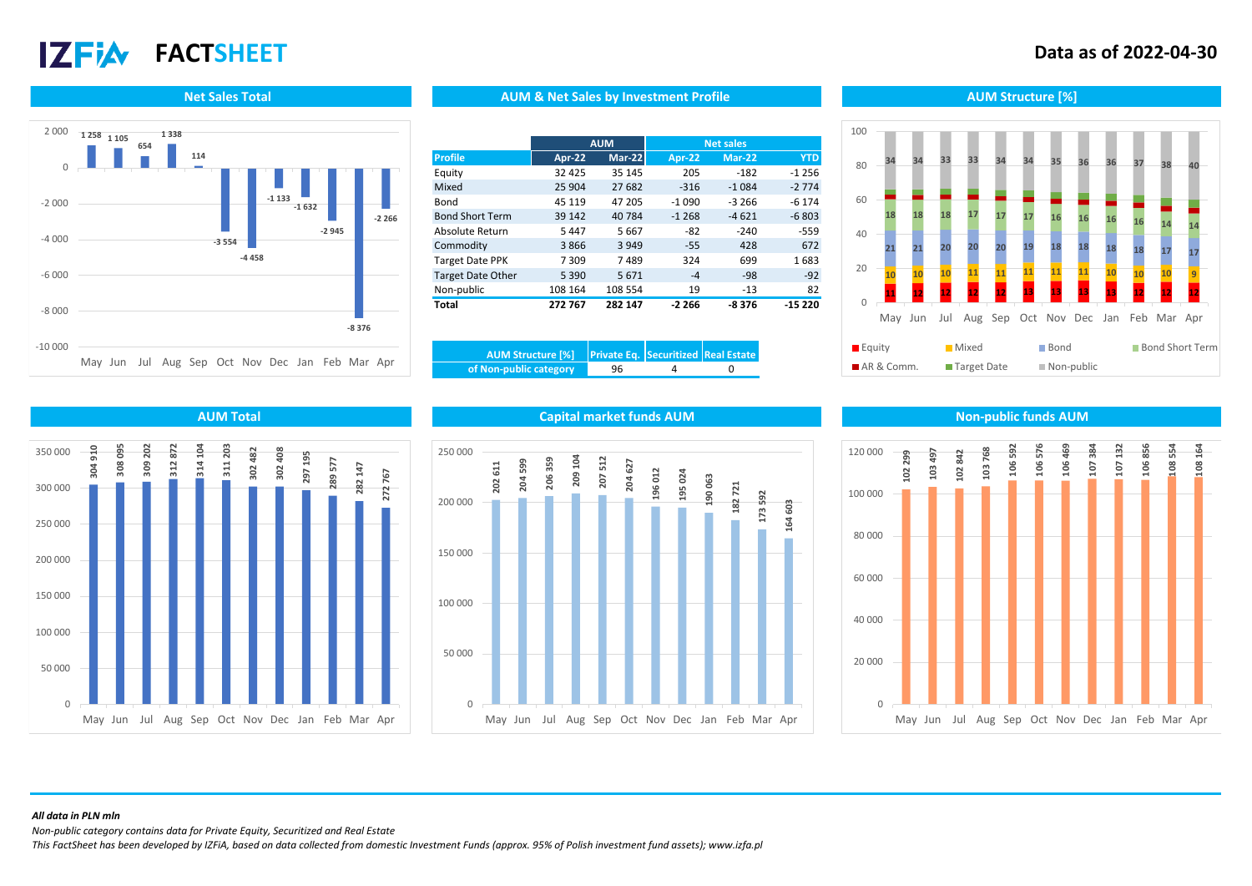# $17$ Fi $\lambda$

## **FACTSHEET Data as of 2022-04-30**



### **Net Sales Total AUM Structure [%]** AUM AUM & Net Sales by Investment Profile Aument Aum Structure [%]

|                          | <b>AUM</b>    |               | <b>Net sales</b> |          |            |
|--------------------------|---------------|---------------|------------------|----------|------------|
| <b>Profile</b>           | <b>Apr-22</b> | <b>Mar-22</b> | Apr-22           | Mar-22   | <b>YTD</b> |
| Equity                   | 32 4 25       | 35 145        | 205              | $-182$   | $-1256$    |
| Mixed                    | 25 904        | 27 682        | $-316$           | $-1.084$ | $-2774$    |
| Bond                     | 45 119        | 47 205        | $-1090$          | $-3,266$ | $-6174$    |
| <b>Bond Short Term</b>   | 39 142        | 40784         | $-1268$          | $-4621$  | $-6803$    |
| Absolute Return          | 5447          | 5667          | $-82$            | $-240$   | $-559$     |
| Commodity                | 3866          | 3 9 4 9       | $-55$            | 428      | 672        |
| <b>Target Date PPK</b>   | 7 3 0 9       | 7489          | 324              | 699      | 1683       |
| <b>Target Date Other</b> | 5 3 9 0       | 5671          | $-4$             | $-98$    | $-92$      |
| Non-public               | 108 164       | 108 554       | 19               | $-13$    | 82         |
| <b>Total</b>             | 272 767       | 282 147       | $-2266$          | $-8376$  | $-15220$   |

| of Non-public category | 96 |  |
|------------------------|----|--|





### **202 611 204 599 206 359 209 104 207 512 204 627 196 012 195 024 190 063 182 721 173 592 164 603**  $\Omega$ 50 000 100 000 150 000 200 000 250 000 May Jun Jul Aug Sep Oct Nov Dec Jan Feb Mar Apr

### **AUM Total Capital market funds AUM Non-public funds AUM**



### *All data in PLN mln*

*Non-public category contains data for Private Equity, Securitized and Real Estate*

*This FactSheet has been developed by IZFiA, based on data collected from domestic Investment Funds (approx. 95% of Polish investment fund assets); www.izfa.pl*